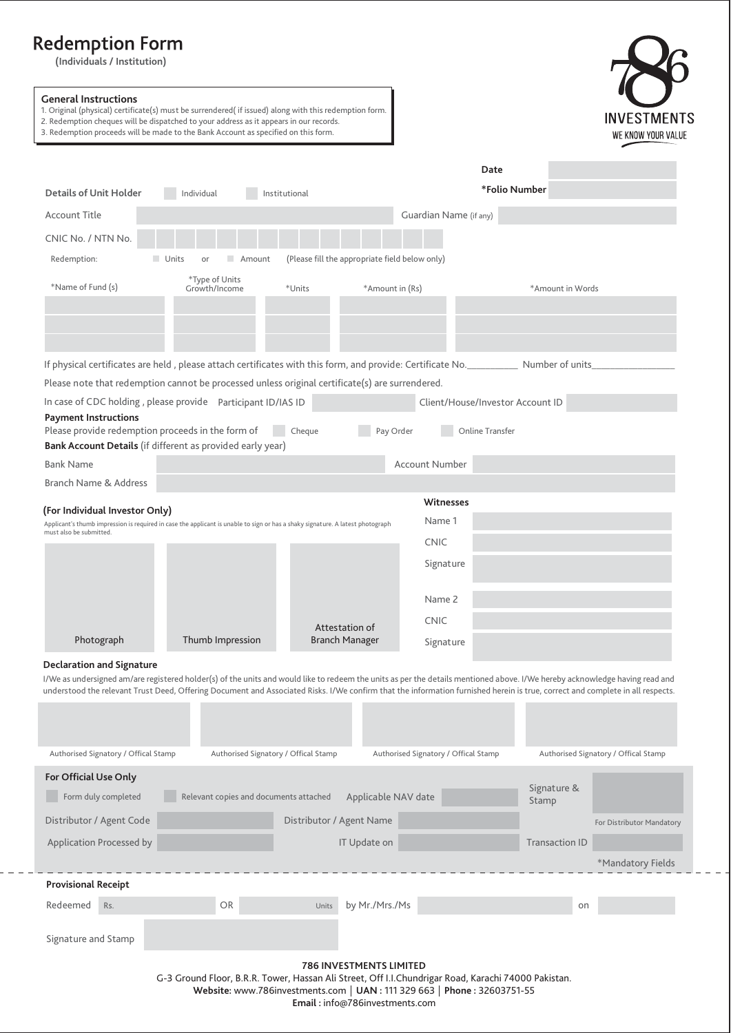# **(Individuals / Institution)**

**General Instructions**

1. Original (physical) certificate(s) must be surrendered( if issued) along with this redemption form.

2. Redemption cheques will be dispatched to your address as it appears in our records.

| INVESTMENTS        |
|--------------------|
| WE KNOW YOUR VALUE |

| 3. Redemption proceeds will be made to the Bank Account as specified on this form.                                                                                                                              |                                                               |                                      | WE KNOW YOUR VALL                    |  |
|-----------------------------------------------------------------------------------------------------------------------------------------------------------------------------------------------------------------|---------------------------------------------------------------|--------------------------------------|--------------------------------------|--|
|                                                                                                                                                                                                                 |                                                               | Date                                 |                                      |  |
| <b>Details of Unit Holder</b><br>Individual                                                                                                                                                                     | Institutional                                                 | *Folio Number                        |                                      |  |
| Account Title                                                                                                                                                                                                   |                                                               | Guardian Name (if any)               |                                      |  |
| CNIC No. / NTN No.                                                                                                                                                                                              |                                                               |                                      |                                      |  |
| Units                                                                                                                                                                                                           | (Please fill the appropriate field below only)<br>Amount      |                                      |                                      |  |
| Redemption:                                                                                                                                                                                                     |                                                               |                                      |                                      |  |
| *Type of Units<br>*Name of Fund (s)<br>Growth/Income                                                                                                                                                            | *Units<br>*Amount in (Rs)                                     |                                      | *Amount in Words                     |  |
|                                                                                                                                                                                                                 |                                                               |                                      |                                      |  |
|                                                                                                                                                                                                                 |                                                               |                                      |                                      |  |
|                                                                                                                                                                                                                 |                                                               |                                      |                                      |  |
| If physical certificates are held, please attach certificates with this form, and provide: Certificate No. Number of units                                                                                      |                                                               |                                      |                                      |  |
| Please note that redemption cannot be processed unless original certificate(s) are surrendered.                                                                                                                 |                                                               |                                      |                                      |  |
| In case of CDC holding, please provide Participant ID/IAS ID<br><b>Payment Instructions</b>                                                                                                                     |                                                               | Client/House/Investor Account ID     |                                      |  |
| Please provide redemption proceeds in the form of                                                                                                                                                               | Cheque<br>Pay Order                                           | Online Transfer                      |                                      |  |
| Bank Account Details (if different as provided early year)                                                                                                                                                      |                                                               |                                      |                                      |  |
| <b>Bank Name</b>                                                                                                                                                                                                |                                                               | Account Number                       |                                      |  |
| Branch Name & Address                                                                                                                                                                                           |                                                               |                                      |                                      |  |
| (For Individual Investor Only)                                                                                                                                                                                  |                                                               | <b>Witnesses</b><br>Name 1           |                                      |  |
| Applicant's thumb impression is required in case the applicant is unable to sign or has a shaky signature. A latest photograph<br>must also be submitted.                                                       |                                                               |                                      |                                      |  |
|                                                                                                                                                                                                                 |                                                               | <b>CNIC</b>                          |                                      |  |
|                                                                                                                                                                                                                 |                                                               | Signature                            |                                      |  |
|                                                                                                                                                                                                                 |                                                               | Name 2                               |                                      |  |
|                                                                                                                                                                                                                 |                                                               | <b>CNIC</b>                          |                                      |  |
| Photograph<br>Thumb Impression                                                                                                                                                                                  | Attestation of<br><b>Branch Manager</b>                       | Signature                            |                                      |  |
|                                                                                                                                                                                                                 |                                                               |                                      |                                      |  |
| <b>Declaration and Signature</b><br>I/We as undersigned am/are registered holder(s) of the units and would like to redeem the units as per the details mentioned above. I/We hereby acknowledge having read and |                                                               |                                      |                                      |  |
| understood the relevant Trust Deed, Offering Document and Associated Risks. I/We confirm that the information furnished herein is true, correct and complete in all respects.                                   |                                                               |                                      |                                      |  |
|                                                                                                                                                                                                                 |                                                               |                                      |                                      |  |
|                                                                                                                                                                                                                 |                                                               |                                      |                                      |  |
| Authorised Signatory / Offical Stamp                                                                                                                                                                            | Authorised Signatory / Offical Stamp                          | Authorised Signatory / Offical Stamp | Authorised Signatory / Offical Stamp |  |
| For Official Use Only                                                                                                                                                                                           |                                                               |                                      |                                      |  |
| Form duly completed                                                                                                                                                                                             | Relevant copies and documents attached<br>Applicable NAV date |                                      | Signature &<br>Stamp                 |  |
| Distributor / Agent Code                                                                                                                                                                                        | Distributor / Agent Name                                      |                                      | For Distributor Mandatory            |  |
| Application Processed by                                                                                                                                                                                        | IT Update on                                                  |                                      | <b>Transaction ID</b>                |  |
|                                                                                                                                                                                                                 |                                                               |                                      | *Mandatory Fields                    |  |
| <b>Provisional Receipt</b>                                                                                                                                                                                      |                                                               |                                      |                                      |  |
| Redeemed<br>OR<br>Rs.                                                                                                                                                                                           | by Mr./Mrs./Ms<br>Units                                       |                                      | on                                   |  |
|                                                                                                                                                                                                                 |                                                               |                                      |                                      |  |
| Signature and Stamp                                                                                                                                                                                             |                                                               |                                      |                                      |  |
| 786 INVESTMENTS LIMITED                                                                                                                                                                                         |                                                               |                                      |                                      |  |

G-3 Ground Floor, B.R.R. Tower, Hassan Ali Street, Off I.I.Chundrigar Road, Karachi 74000 Pakistan. **Website:** www.786investments.com **UAN :** 111 329 663 **Phone :** 32603751-55 **Email :** info@786investments.com